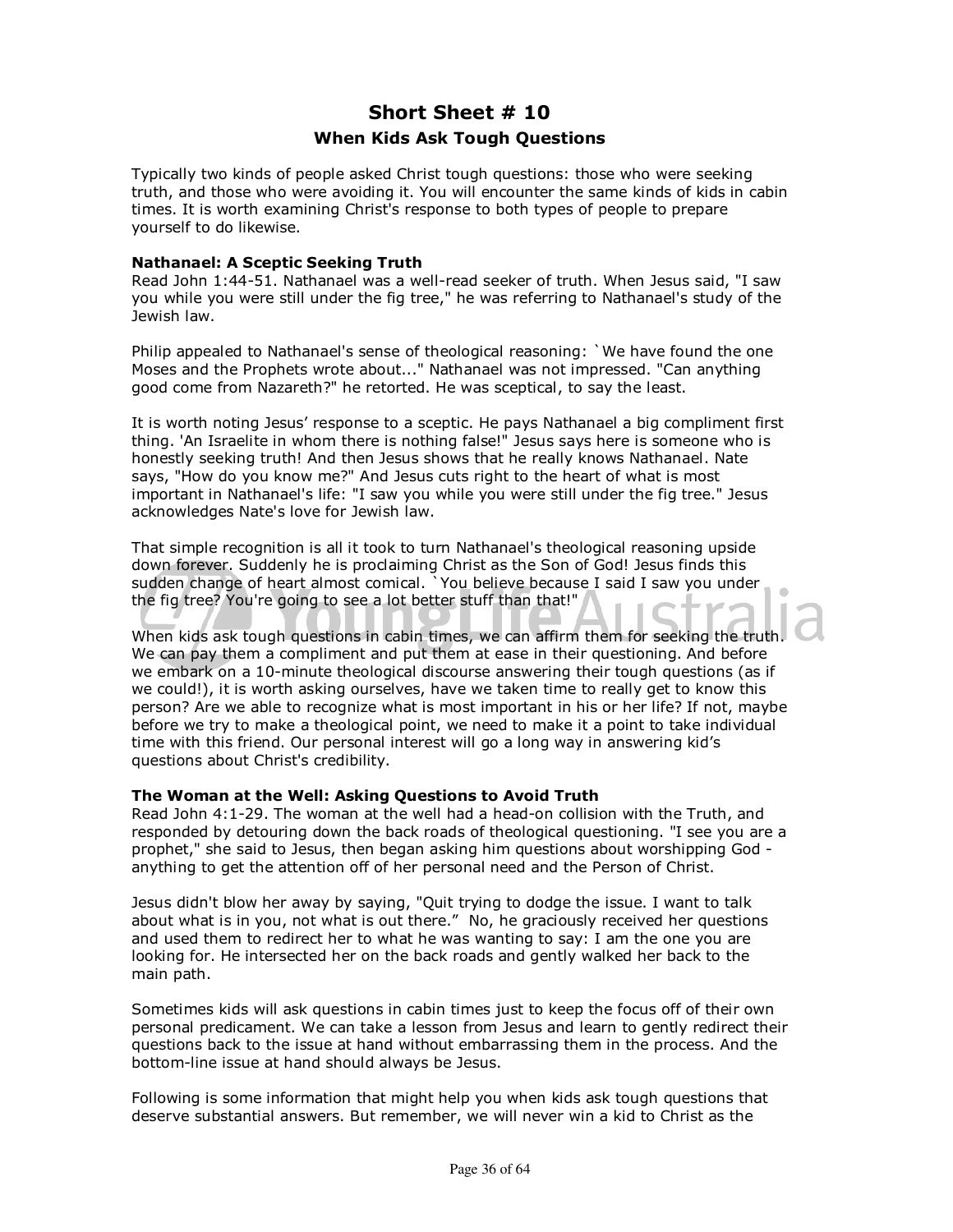# **Short Sheet # 10 When Kids Ask Tough Questions**

Typically two kinds of people asked Christ tough questions: those who were seeking truth, and those who were avoiding it. You will encounter the same kinds of kids in cabin times. It is worth examining Christ's response to both types of people to prepare yourself to do likewise.

## **Nathanael: A Sceptic Seeking Truth**

Read John 1:44-51. Nathanael was a well-read seeker of truth. When Jesus said, "I saw you while you were still under the fig tree," he was referring to Nathanael's study of the Jewish law.

Philip appealed to Nathanael's sense of theological reasoning: `We have found the one Moses and the Prophets wrote about..." Nathanael was not impressed. "Can anything good come from Nazareth?" he retorted. He was sceptical, to say the least.

It is worth noting Jesus' response to a sceptic. He pays Nathanael a big compliment first thing. 'An Israelite in whom there is nothing false!" Jesus says here is someone who is honestly seeking truth! And then Jesus shows that he really knows Nathanael. Nate says, "How do you know me?" And Jesus cuts right to the heart of what is most important in Nathanael's life: "I saw you while you were still under the fig tree." Jesus acknowledges Nate's love for Jewish law.

That simple recognition is all it took to turn Nathanael's theological reasoning upside down forever. Suddenly he is proclaiming Christ as the Son of God! Jesus finds this sudden change of heart almost comical. `You believe because I said I saw you under the fig tree? You're going to see a lot better stuff than that!"

When kids ask tough questions in cabin times, we can affirm them for seeking the truth. We can pay them a compliment and put them at ease in their questioning. And before we embark on a 10-minute theological discourse answering their tough questions (as if we could!), it is worth asking ourselves, have we taken time to really get to know this person? Are we able to recognize what is most important in his or her life? If not, maybe before we try to make a theological point, we need to make it a point to take individual time with this friend. Our personal interest will go a long way in answering kid's questions about Christ's credibility.

## **The Woman at the Well: Asking Questions to Avoid Truth**

Read John 4:1-29. The woman at the well had a head-on collision with the Truth, and responded by detouring down the back roads of theological questioning. "I see you are a prophet," she said to Jesus, then began asking him questions about worshipping God anything to get the attention off of her personal need and the Person of Christ.

Jesus didn't blow her away by saying, "Quit trying to dodge the issue. I want to talk about what is in you, not what is out there." No, he graciously received her questions and used them to redirect her to what he was wanting to say: I am the one you are looking for. He intersected her on the back roads and gently walked her back to the main path.

Sometimes kids will ask questions in cabin times just to keep the focus off of their own personal predicament. We can take a lesson from Jesus and learn to gently redirect their questions back to the issue at hand without embarrassing them in the process. And the bottom-line issue at hand should always be Jesus.

Following is some information that might help you when kids ask tough questions that deserve substantial answers. But remember, we will never win a kid to Christ as the